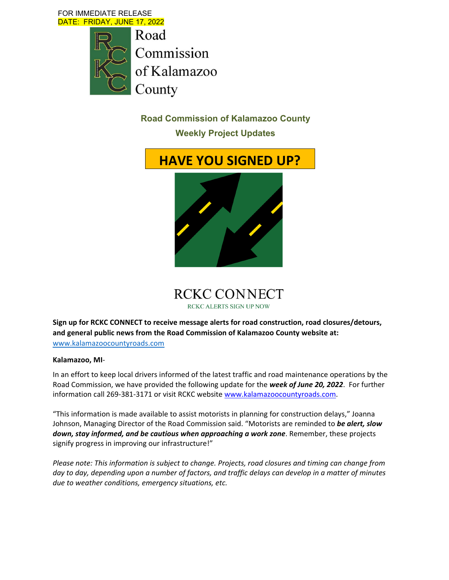FOR IMMEDIATE RELEASE DATE: FRIDAY, JUNE 17, 2022

> Road Commission of Kalamazoo County

> > **Road Commission of Kalamazoo County**

**Weekly Project Updates** 





**Sign up for RCKC CONNECT to receive message alerts for road construction, road closures/detours, and general public news from the Road Commission of Kalamazoo County website at:** www.kalamazoocountyroads.com

#### **Kalamazoo, MI**‐

In an effort to keep local drivers informed of the latest traffic and road maintenance operations by the Road Commission, we have provided the following update for the *week of June 20, 2022*. For further information call 269-381-3171 or visit RCKC website www.kalamazoocountyroads.com.

"This information is made available to assist motorists in planning for construction delays," Joanna Johnson, Managing Director of the Road Commission said. "Motorists are reminded to *be alert, slow down, stay informed, and be cautious when approaching a work zone*. Remember, these projects signify progress in improving our infrastructure!"

*Please note: This information is subject to change. Projects, road closures and timing can change from* day to day, depending upon a number of factors, and traffic delays can develop in a matter of minutes *due to weather conditions, emergency situations, etc.*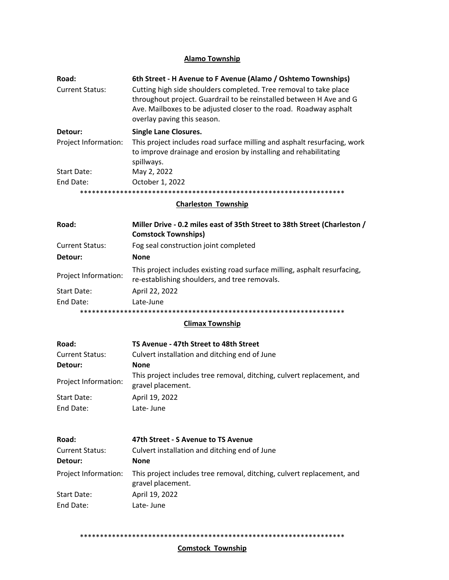# **Alamo Township**

| Road:                  | 6th Street - H Avenue to F Avenue (Alamo / Oshtemo Townships)                                                                                                                                                                                |
|------------------------|----------------------------------------------------------------------------------------------------------------------------------------------------------------------------------------------------------------------------------------------|
| <b>Current Status:</b> | Cutting high side shoulders completed. Tree removal to take place<br>throughout project. Guardrail to be reinstalled between H Ave and G<br>Ave. Mailboxes to be adjusted closer to the road. Roadway asphalt<br>overlay paving this season. |
| Detour:                | <b>Single Lane Closures.</b>                                                                                                                                                                                                                 |
| Project Information:   | This project includes road surface milling and asphalt resurfacing, work<br>to improve drainage and erosion by installing and rehabilitating<br>spillways.                                                                                   |
| Start Date:            | May 2, 2022                                                                                                                                                                                                                                  |
| End Date:              | October 1, 2022                                                                                                                                                                                                                              |
|                        |                                                                                                                                                                                                                                              |

#### **Charleston Township**

| Road:                  | Miller Drive - 0.2 miles east of 35th Street to 38th Street (Charleston /<br><b>Comstock Townships)</b>                    |
|------------------------|----------------------------------------------------------------------------------------------------------------------------|
| <b>Current Status:</b> | Fog seal construction joint completed                                                                                      |
| Detour:                | <b>None</b>                                                                                                                |
| Project Information:   | This project includes existing road surface milling, asphalt resurfacing,<br>re-establishing shoulders, and tree removals. |
| Start Date:            | April 22, 2022                                                                                                             |
| End Date:              | Late-June                                                                                                                  |
|                        |                                                                                                                            |

# **Climax Township**

| <b>Road:</b>             | TS Avenue - 47th Street to 48th Street                                                      |
|--------------------------|---------------------------------------------------------------------------------------------|
| <b>Current Status:</b>   | Culvert installation and ditching end of June                                               |
| Detour:                  | <b>None</b>                                                                                 |
| Project Information:     | This project includes tree removal, ditching, culvert replacement, and<br>gravel placement. |
| Start Date:<br>End Date: | April 19, 2022<br>Late-June                                                                 |
|                          |                                                                                             |

| Road:                  | 47th Street - S Avenue to TS Avenue                                                         |
|------------------------|---------------------------------------------------------------------------------------------|
| <b>Current Status:</b> | Culvert installation and ditching end of June                                               |
| Detour:                | <b>None</b>                                                                                 |
| Project Information:   | This project includes tree removal, ditching, culvert replacement, and<br>gravel placement. |
| Start Date:            | April 19, 2022                                                                              |
| End Date:              | Late-June                                                                                   |

\*\*\*\*\*\*\*\*\*\*\*\*\*\*\*\*\*\*\*\*\*\*\*\*\*\*\*\*\*\*\*\*\*\*\*\*\*\*\*\*\*\*\*\*\*\*\*\*\*\*\*\*\*\*\*\*\*\*\*\*\*\*\*\*\*\*

#### **Comstock Township**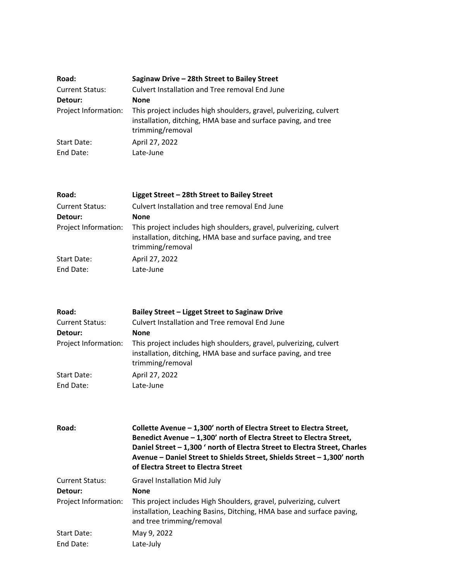| Road:                    | Saginaw Drive - 28th Street to Bailey Street                                                                                                            |
|--------------------------|---------------------------------------------------------------------------------------------------------------------------------------------------------|
| <b>Current Status:</b>   | Culvert Installation and Tree removal End June                                                                                                          |
| Detour:                  | <b>None</b>                                                                                                                                             |
| Project Information:     | This project includes high shoulders, gravel, pulverizing, culvert<br>installation, ditching, HMA base and surface paving, and tree<br>trimming/removal |
| Start Date:<br>End Date: | April 27, 2022<br>Late-June                                                                                                                             |

| Road:                  | Ligget Street - 28th Street to Bailey Street                                                                                                            |
|------------------------|---------------------------------------------------------------------------------------------------------------------------------------------------------|
| <b>Current Status:</b> | Culvert Installation and tree removal End June                                                                                                          |
| Detour:                | <b>None</b>                                                                                                                                             |
| Project Information:   | This project includes high shoulders, gravel, pulverizing, culvert<br>installation, ditching, HMA base and surface paving, and tree<br>trimming/removal |
| <b>Start Date:</b>     | April 27, 2022                                                                                                                                          |
| End Date:              | Late-June                                                                                                                                               |

| Road:                  | Bailey Street - Ligget Street to Saginaw Drive                                                                                                          |
|------------------------|---------------------------------------------------------------------------------------------------------------------------------------------------------|
| <b>Current Status:</b> | Culvert Installation and Tree removal End June                                                                                                          |
| Detour:                | <b>None</b>                                                                                                                                             |
| Project Information:   | This project includes high shoulders, gravel, pulverizing, culvert<br>installation, ditching, HMA base and surface paving, and tree<br>trimming/removal |
| Start Date:            | April 27, 2022                                                                                                                                          |
| End Date:              | Late-June                                                                                                                                               |

| Road:                  | Collette Avenue - 1,300' north of Electra Street to Electra Street,<br>Benedict Avenue - 1,300' north of Electra Street to Electra Street,<br>Daniel Street - 1,300 ' north of Electra Street to Electra Street, Charles<br>Avenue - Daniel Street to Shields Street, Shields Street - 1,300' north<br>of Electra Street to Electra Street |
|------------------------|--------------------------------------------------------------------------------------------------------------------------------------------------------------------------------------------------------------------------------------------------------------------------------------------------------------------------------------------|
| <b>Current Status:</b> | <b>Gravel Installation Mid July</b>                                                                                                                                                                                                                                                                                                        |
| Detour:                | <b>None</b>                                                                                                                                                                                                                                                                                                                                |
| Project Information:   | This project includes High Shoulders, gravel, pulverizing, culvert<br>installation, Leaching Basins, Ditching, HMA base and surface paving,<br>and tree trimming/removal                                                                                                                                                                   |
| <b>Start Date:</b>     | May 9, 2022                                                                                                                                                                                                                                                                                                                                |
| End Date:              | Late-July                                                                                                                                                                                                                                                                                                                                  |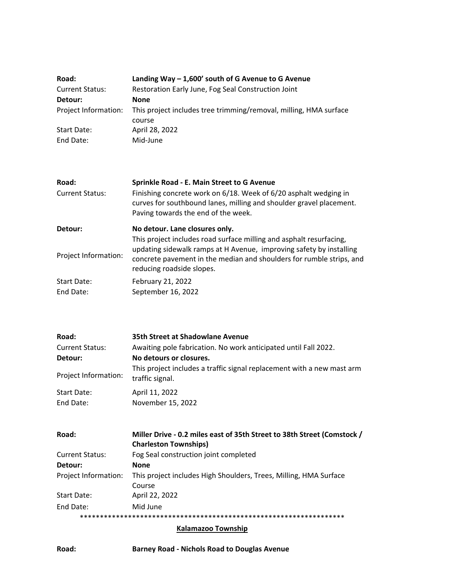| Road:                  | Landing Way $-1,600'$ south of G Avenue to G Avenue               |
|------------------------|-------------------------------------------------------------------|
| <b>Current Status:</b> | Restoration Early June, Fog Seal Construction Joint               |
| Detour:                | <b>None</b>                                                       |
| Project Information:   | This project includes tree trimming/removal, milling, HMA surface |
|                        | course                                                            |
| Start Date:            | April 28, 2022                                                    |
| End Date:              | Mid-June                                                          |

| Road:                  | Sprinkle Road - E. Main Street to G Avenue                                                                                                                                                                                                      |
|------------------------|-------------------------------------------------------------------------------------------------------------------------------------------------------------------------------------------------------------------------------------------------|
| <b>Current Status:</b> | Finishing concrete work on 6/18. Week of 6/20 asphalt wedging in<br>curves for southbound lanes, milling and shoulder gravel placement.<br>Paving towards the end of the week.                                                                  |
| Detour:                | No detour. Lane closures only.                                                                                                                                                                                                                  |
| Project Information:   | This project includes road surface milling and asphalt resurfacing,<br>updating sidewalk ramps at H Avenue, improving safety by installing<br>concrete pavement in the median and shoulders for rumble strips, and<br>reducing roadside slopes. |
| <b>Start Date:</b>     | February 21, 2022                                                                                                                                                                                                                               |
| End Date:              | September 16, 2022                                                                                                                                                                                                                              |

| Road:                  | 35th Street at Shadowlane Avenue                                                          |
|------------------------|-------------------------------------------------------------------------------------------|
| <b>Current Status:</b> | Awaiting pole fabrication. No work anticipated until Fall 2022.                           |
| Detour:                | No detours or closures.                                                                   |
| Project Information:   | This project includes a traffic signal replacement with a new mast arm<br>traffic signal. |
| Start Date:            | April 11, 2022                                                                            |
| End Date:              | November 15, 2022                                                                         |

| Road:                  | Miller Drive - 0.2 miles east of 35th Street to 38th Street (Comstock / |
|------------------------|-------------------------------------------------------------------------|
|                        | <b>Charleston Townships)</b>                                            |
| <b>Current Status:</b> | Fog Seal construction joint completed                                   |
| Detour:                | <b>None</b>                                                             |
| Project Information:   | This project includes High Shoulders, Trees, Milling, HMA Surface       |
|                        | Course                                                                  |
| Start Date:            | April 22, 2022                                                          |
| End Date:              | Mid June                                                                |
|                        |                                                                         |

# **Kalamazoo Township**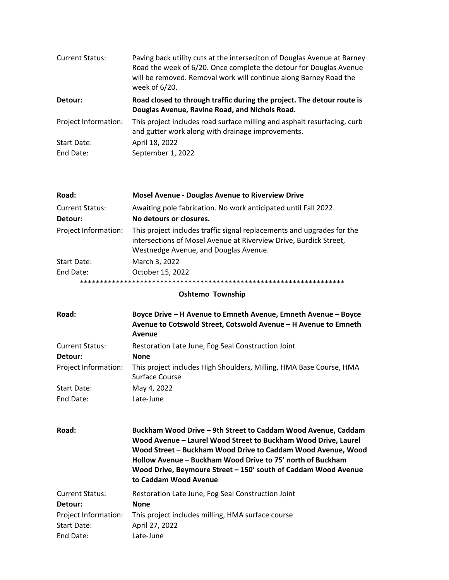| <b>Current Status:</b> | Paving back utility cuts at the interseciton of Douglas Avenue at Barney<br>Road the week of 6/20. Once complete the detour for Douglas Avenue<br>will be removed. Removal work will continue along Barney Road the<br>week of 6/20. |
|------------------------|--------------------------------------------------------------------------------------------------------------------------------------------------------------------------------------------------------------------------------------|
| Detour:                | Road closed to through traffic during the project. The detour route is<br>Douglas Avenue, Ravine Road, and Nichols Road.                                                                                                             |
| Project Information:   | This project includes road surface milling and asphalt resurfacing, curb<br>and gutter work along with drainage improvements.                                                                                                        |
| <b>Start Date:</b>     | April 18, 2022                                                                                                                                                                                                                       |
| End Date:              | September 1, 2022                                                                                                                                                                                                                    |

| Road:                             | <b>Mosel Avenue - Douglas Avenue to Riverview Drive</b>                                                                                                                              |
|-----------------------------------|--------------------------------------------------------------------------------------------------------------------------------------------------------------------------------------|
| <b>Current Status:</b><br>Detour: | Awaiting pole fabrication. No work anticipated until Fall 2022.<br>No detours or closures.                                                                                           |
| Project Information:              | This project includes traffic signal replacements and upgrades for the<br>intersections of Mosel Avenue at Riverview Drive, Burdick Street,<br>Westnedge Avenue, and Douglas Avenue. |
| Start Date:                       | March 3, 2022                                                                                                                                                                        |
| End Date:                         | October 15, 2022                                                                                                                                                                     |
|                                   |                                                                                                                                                                                      |

### **Oshtemo** Township

| Road:                  | Boyce Drive - H Avenue to Emneth Avenue, Emneth Avenue - Boyce<br>Avenue to Cotswold Street, Cotswold Avenue - H Avenue to Emneth<br>Avenue                                                                                                                                                                                                              |
|------------------------|----------------------------------------------------------------------------------------------------------------------------------------------------------------------------------------------------------------------------------------------------------------------------------------------------------------------------------------------------------|
| <b>Current Status:</b> | Restoration Late June, Fog Seal Construction Joint                                                                                                                                                                                                                                                                                                       |
| Detour:                | <b>None</b>                                                                                                                                                                                                                                                                                                                                              |
| Project Information:   | This project includes High Shoulders, Milling, HMA Base Course, HMA<br>Surface Course                                                                                                                                                                                                                                                                    |
| <b>Start Date:</b>     | May 4, 2022                                                                                                                                                                                                                                                                                                                                              |
| End Date:              | Late-June                                                                                                                                                                                                                                                                                                                                                |
| Road:                  | Buckham Wood Drive - 9th Street to Caddam Wood Avenue, Caddam<br>Wood Avenue - Laurel Wood Street to Buckham Wood Drive, Laurel<br>Wood Street - Buckham Wood Drive to Caddam Wood Avenue, Wood<br>Hollow Avenue – Buckham Wood Drive to 75' north of Buckham<br>Wood Drive, Beymoure Street - 150' south of Caddam Wood Avenue<br>to Caddam Wood Avenue |
| <b>Current Status:</b> |                                                                                                                                                                                                                                                                                                                                                          |
| Detour:                | Restoration Late June, Fog Seal Construction Joint<br><b>None</b>                                                                                                                                                                                                                                                                                        |
| Project Information:   | This project includes milling, HMA surface course                                                                                                                                                                                                                                                                                                        |
| <b>Start Date:</b>     | April 27, 2022                                                                                                                                                                                                                                                                                                                                           |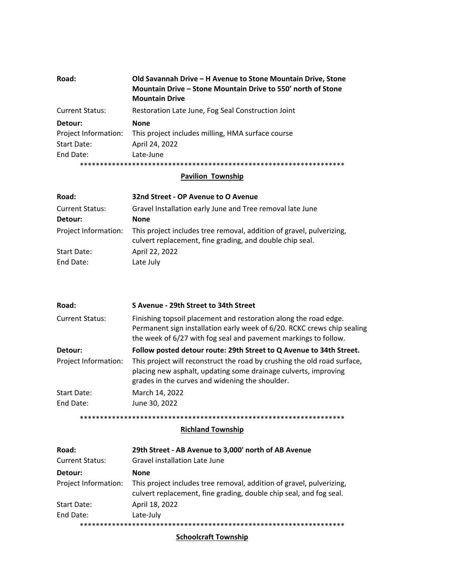| Road:                  | Old Savannah Drive – H Avenue to Stone Mountain Drive, Stone<br>Mountain Drive – Stone Mountain Drive to 550' north of Stone<br><b>Mountain Drive</b> |
|------------------------|-------------------------------------------------------------------------------------------------------------------------------------------------------|
| <b>Current Status:</b> | Restoration Late June, Fog Seal Construction Joint                                                                                                    |
| Detour:                | <b>None</b>                                                                                                                                           |
| Project Information:   | This project includes milling, HMA surface course                                                                                                     |
| Start Date:            | April 24, 2022                                                                                                                                        |
| End Date:              | Late-June                                                                                                                                             |
|                        |                                                                                                                                                       |

#### **Pavilion Township**

| Road:                  | 32nd Street - OP Avenue to O Avenue                                                                                              |
|------------------------|----------------------------------------------------------------------------------------------------------------------------------|
| <b>Current Status:</b> | Gravel Installation early June and Tree removal late June                                                                        |
| Detour:                | <b>None</b>                                                                                                                      |
| Project Information:   | This project includes tree removal, addition of gravel, pulverizing,<br>culvert replacement, fine grading, and double chip seal. |
| Start Date:            | April 22, 2022                                                                                                                   |
| End Date:              | Late July                                                                                                                        |

| Road:                  | S Avenue - 29th Street to 34th Street                                                                                                                                                                          |
|------------------------|----------------------------------------------------------------------------------------------------------------------------------------------------------------------------------------------------------------|
| <b>Current Status:</b> | Finishing topsoil placement and restoration along the road edge.<br>Permanent sign installation early week of 6/20. RCKC crews chip sealing<br>the week of 6/27 with fog seal and pavement markings to follow. |
| Detour:                | Follow posted detour route: 29th Street to Q Avenue to 34th Street.                                                                                                                                            |
| Project Information:   | This project will reconstruct the road by crushing the old road surface,<br>placing new asphalt, updating some drainage culverts, improving<br>grades in the curves and widening the shoulder.                 |
| Start Date:            | March 14, 2022                                                                                                                                                                                                 |
| End Date:              | June 30, 2022                                                                                                                                                                                                  |

# \*\*\*\*\*\*\*\*\*\*\*\*\*\*\*\*\*\*\*\*\*\*\*\*\*\*\*\*\*\*\*\*\*\*\*\*\*\*\*\*\*\*\*\*\*\*\*\*\*\*\*\*\*\*\*\*\*\*\*\*\*\*\*\*\*\*

#### **Richland Township**

| Road:                  | 29th Street - AB Avenue to 3,000' north of AB Avenue                                                                                       |
|------------------------|--------------------------------------------------------------------------------------------------------------------------------------------|
| <b>Current Status:</b> | Gravel installation Late June                                                                                                              |
| Detour:                | None                                                                                                                                       |
| Project Information:   | This project includes tree removal, addition of gravel, pulverizing,<br>culvert replacement, fine grading, double chip seal, and fog seal. |
| Start Date:            | April 18, 2022                                                                                                                             |
| End Date:              | Late-July                                                                                                                                  |
|                        |                                                                                                                                            |

### **Schoolcraft Township**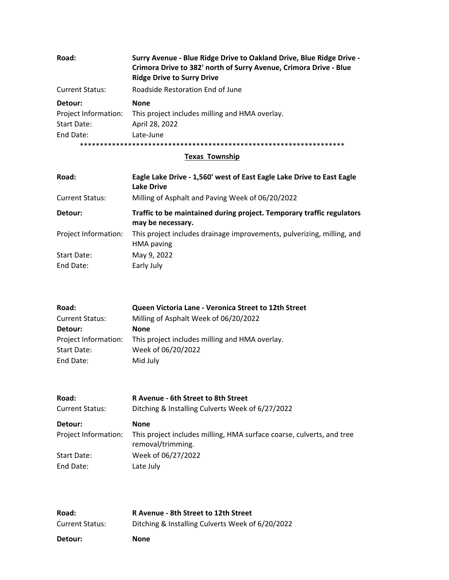| Road:                  | Surry Avenue - Blue Ridge Drive to Oakland Drive, Blue Ridge Drive -<br>Crimora Drive to 382' north of Surry Avenue, Crimora Drive - Blue<br><b>Ridge Drive to Surry Drive</b> |
|------------------------|--------------------------------------------------------------------------------------------------------------------------------------------------------------------------------|
| <b>Current Status:</b> | Roadside Restoration End of June                                                                                                                                               |
| Detour:                | <b>None</b>                                                                                                                                                                    |
| Project Information:   | This project includes milling and HMA overlay.                                                                                                                                 |
| Start Date:            | April 28, 2022                                                                                                                                                                 |
| End Date:              | Late-June                                                                                                                                                                      |
|                        |                                                                                                                                                                                |

#### **Texas Township**

| Road:                  | Eagle Lake Drive - 1,560' west of East Eagle Lake Drive to East Eagle<br>Lake Drive        |
|------------------------|--------------------------------------------------------------------------------------------|
| <b>Current Status:</b> | Milling of Asphalt and Paving Week of 06/20/2022                                           |
| Detour:                | Traffic to be maintained during project. Temporary traffic regulators<br>may be necessary. |
| Project Information:   | This project includes drainage improvements, pulverizing, milling, and<br>HMA paving       |
| <b>Start Date:</b>     | May 9, 2022                                                                                |
| End Date:              | Early July                                                                                 |

| Queen Victoria Lane - Veronica Street to 12th Street |
|------------------------------------------------------|
| Milling of Asphalt Week of 06/20/2022                |
| <b>None</b>                                          |
| This project includes milling and HMA overlay.       |
| Week of 06/20/2022                                   |
| Mid July                                             |
|                                                      |

| Road:                  | R Avenue - 6th Street to 8th Street                                                        |
|------------------------|--------------------------------------------------------------------------------------------|
| <b>Current Status:</b> | Ditching & Installing Culverts Week of 6/27/2022                                           |
| Detour:                | <b>None</b>                                                                                |
| Project Information:   | This project includes milling, HMA surface coarse, culverts, and tree<br>removal/trimming. |
| Start Date:            | Week of 06/27/2022                                                                         |
| End Date:              | Late July                                                                                  |

| Road:                  | R Avenue - 8th Street to 12th Street             |
|------------------------|--------------------------------------------------|
| <b>Current Status:</b> | Ditching & Installing Culverts Week of 6/20/2022 |
| Detour:                | None                                             |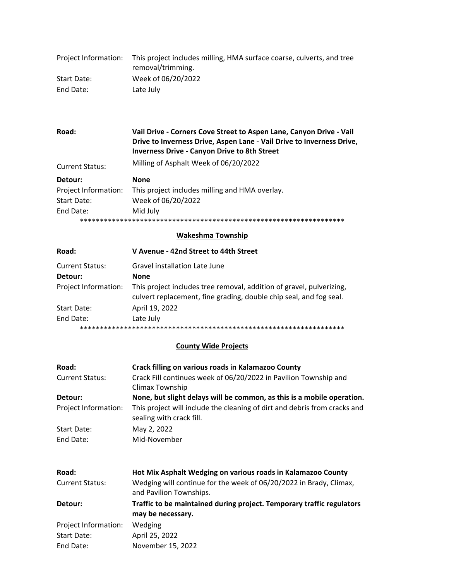| Project Information: | This project includes milling, HMA surface coarse, culverts, and tree<br>removal/trimming. |
|----------------------|--------------------------------------------------------------------------------------------|
| Start Date:          | Week of 06/20/2022                                                                         |
| End Date:            | Late July                                                                                  |

| Road:                  | Vail Drive - Corners Cove Street to Aspen Lane, Canyon Drive - Vail<br>Drive to Inverness Drive, Aspen Lane - Vail Drive to Inverness Drive,<br><b>Inverness Drive - Canyon Drive to 8th Street</b> |
|------------------------|-----------------------------------------------------------------------------------------------------------------------------------------------------------------------------------------------------|
| <b>Current Status:</b> | Milling of Asphalt Week of 06/20/2022                                                                                                                                                               |
| Detour:                | <b>None</b>                                                                                                                                                                                         |
| Project Information:   | This project includes milling and HMA overlay.                                                                                                                                                      |
| Start Date:            | Week of 06/20/2022                                                                                                                                                                                  |
| End Date:              | Mid July                                                                                                                                                                                            |
|                        |                                                                                                                                                                                                     |

#### **Wakeshma Township**

| Road:                  | V Avenue - 42nd Street to 44th Street                                                                                                      |
|------------------------|--------------------------------------------------------------------------------------------------------------------------------------------|
| <b>Current Status:</b> | Gravel installation Late June                                                                                                              |
| Detour:                | <b>None</b>                                                                                                                                |
| Project Information:   | This project includes tree removal, addition of gravel, pulverizing,<br>culvert replacement, fine grading, double chip seal, and fog seal. |
| Start Date:            | April 19, 2022                                                                                                                             |
| End Date:              | Late July                                                                                                                                  |
|                        |                                                                                                                                            |

### **County Wide Projects**

| Crack filling on various roads in Kalamazoo County                                                                                                            |
|---------------------------------------------------------------------------------------------------------------------------------------------------------------|
| Crack Fill continues week of 06/20/2022 in Pavilion Township and<br>Climax Township                                                                           |
| None, but slight delays will be common, as this is a mobile operation.                                                                                        |
| This project will include the cleaning of dirt and debris from cracks and<br>sealing with crack fill.                                                         |
| May 2, 2022                                                                                                                                                   |
| Mid-November                                                                                                                                                  |
| Hot Mix Asphalt Wedging on various roads in Kalamazoo County<br>Wedging will continue for the week of 06/20/2022 in Brady, Climax,<br>and Pavilion Townships. |
| Traffic to be maintained during project. Temporary traffic regulators<br>may be necessary.                                                                    |
| Wedging                                                                                                                                                       |
| April 25, 2022                                                                                                                                                |
| November 15, 2022                                                                                                                                             |
|                                                                                                                                                               |